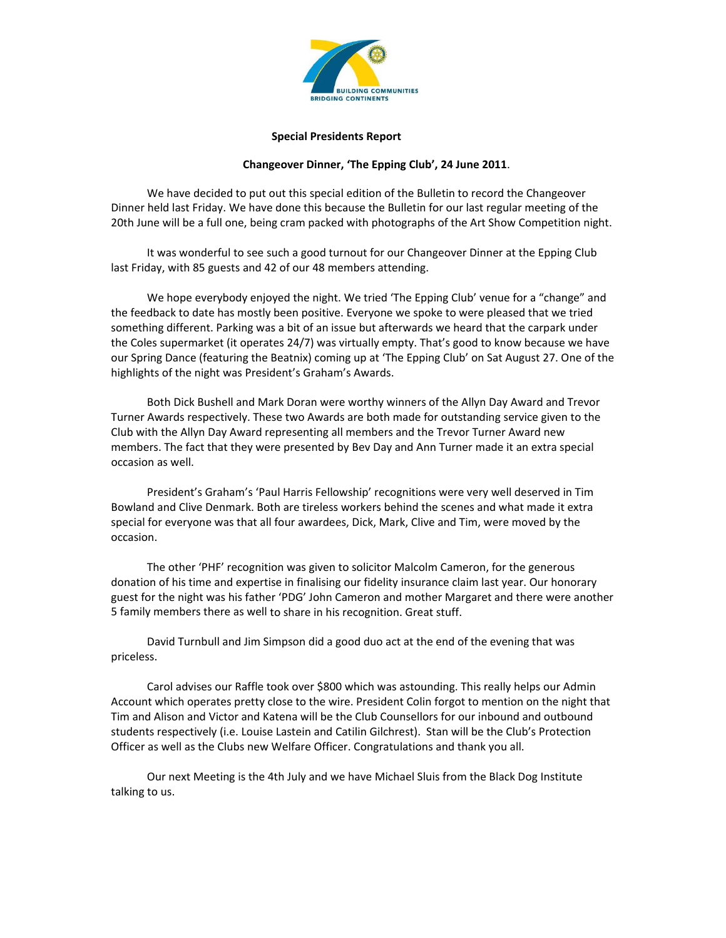

### **Special Presidents Report**

## **Changeover Dinner, 'The Epping Club', 24 June 2011**.

We have decided to put out this special edition of the Bulletin to record the Changeover Dinner held last Friday. We have done this because the Bulletin for our last regular meeting of the 20th June will be a full one, being cram packed with photographs of the Art Show Competition night.

It was wonderful to see such a good turnout for our Changeover Dinner at the Epping Club last Friday, with 85 guests and 42 of our 48 members attending.

We hope everybody enjoyed the night. We tried 'The Epping Club' venue for a "change" and the feedback to date has mostly been positive. Everyone we spoke to were pleased that we tried something different. Parking was a bit of an issue but afterwards we heard that the carpark under the Coles supermarket (it operates 24/7) was virtually empty. That's good to know because we have our Spring Dance (featuring the Beatnix) coming up at 'The Epping Club' on Sat August 27. One of the highlights of the night was President's Graham's Awards.

Both Dick Bushell and Mark Doran were worthy winners of the Allyn Day Award and Trevor Turner Awards respectively. These two Awards are both made for outstanding service given to the Club with the Allyn Day Award representing all members and the Trevor Turner Award new members. The fact that they were presented by Bev Day and Ann Turner made it an extra special occasion as well.

President's Graham's 'Paul Harris Fellowship' recognitions were very well deserved in Tim Bowland and Clive Denmark. Both are tireless workers behind the scenes and what made it extra special for everyone was that all four awardees, Dick, Mark, Clive and Tim, were moved by the occasion.

The other 'PHF' recognition was given to solicitor Malcolm Cameron, for the generous donation of his time and expertise in finalising our fidelity insurance claim last year. Our honorary guest for the night was his father 'PDG' John Cameron and mother Margaret and there were another 5 family members there as well to share in his recognition. Great stuff.

David Turnbull and Jim Simpson did a good duo act at the end of the evening that was priceless.

Carol advises our Raffle took over \$800 which was astounding. This really helps our Admin Account which operates pretty close to the wire. President Colin forgot to mention on the night that Tim and Alison and Victor and Katena will be the Club Counsellors for our inbound and outbound students respectively (i.e. Louise Lastein and Catilin Gilchrest). Stan will be the Club's Protection Officer as well as the Clubs new Welfare Officer. Congratulations and thank you all.

Our next Meeting is the 4th July and we have Michael Sluis from the Black Dog Institute talking to us.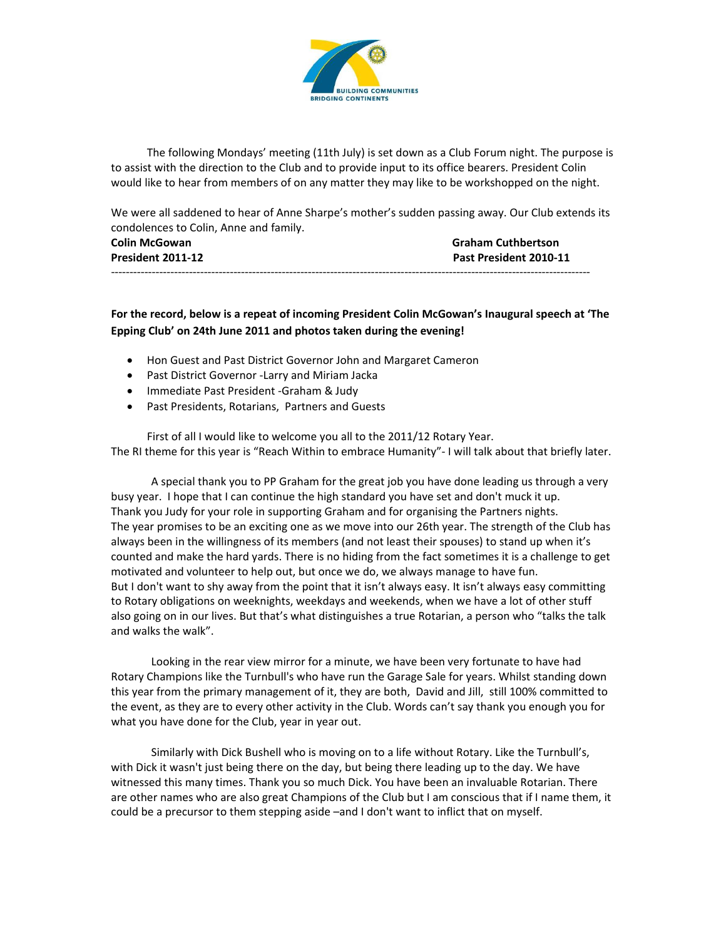

The following Mondays' meeting (11th July) is set down as a Club Forum night. The purpose is to assist with the direction to the Club and to provide input to its office bearers. President Colin would like to hear from members of on any matter they may like to be workshopped on the night.

We were all saddened to hear of Anne Sharpe's mother's sudden passing away. Our Club extends its condolences to Colin, Anne and family.

| <b>Colin McGowan</b> | <b>Graham Cuthbertson</b> |
|----------------------|---------------------------|
| President 2011-12    | Past President 2010-11    |
|                      |                           |

**For the record, below is a repeat of incoming President Colin McGowan's Inaugural speech at 'The Epping Club' on 24th June 2011 and photos taken during the evening!**

- Hon Guest and Past District Governor John and Margaret Cameron
- Past District Governor -Larry and Miriam Jacka
- Immediate Past President -Graham & Judy
- Past Presidents, Rotarians, Partners and Guests

First of all I would like to welcome you all to the 2011/12 Rotary Year. The RI theme for this year is "Reach Within to embrace Humanity"‐ I will talk about that briefly later.

A special thank you to PP Graham for the great job you have done leading us through a very busy year. I hope that I can continue the high standard you have set and don't muck it up. Thank you Judy for your role in supporting Graham and for organising the Partners nights. The year promises to be an exciting one as we move into our 26th year. The strength of the Club has always been in the willingness of its members (and not least their spouses) to stand up when it's counted and make the hard yards. There is no hiding from the fact sometimes it is a challenge to get motivated and volunteer to help out, but once we do, we always manage to have fun. But I don't want to shy away from the point that it isn't always easy. It isn't always easy committing to Rotary obligations on weeknights, weekdays and weekends, when we have a lot of other stuff also going on in our lives. But that's what distinguishes a true Rotarian, a person who "talks the talk and walks the walk".

Looking in the rear view mirror for a minute, we have been very fortunate to have had Rotary Champions like the Turnbull's who have run the Garage Sale for years. Whilst standing down this year from the primary management of it, they are both, David and Jill, still 100% committed to the event, as they are to every other activity in the Club. Words can't say thank you enough you for what you have done for the Club, year in year out.

Similarly with Dick Bushell who is moving on to a life without Rotary. Like the Turnbull's, with Dick it wasn't just being there on the day, but being there leading up to the day. We have witnessed this many times. Thank you so much Dick. You have been an invaluable Rotarian. There are other names who are also great Champions of the Club but I am conscious that if I name them, it could be a precursor to them stepping aside –and I don't want to inflict that on myself.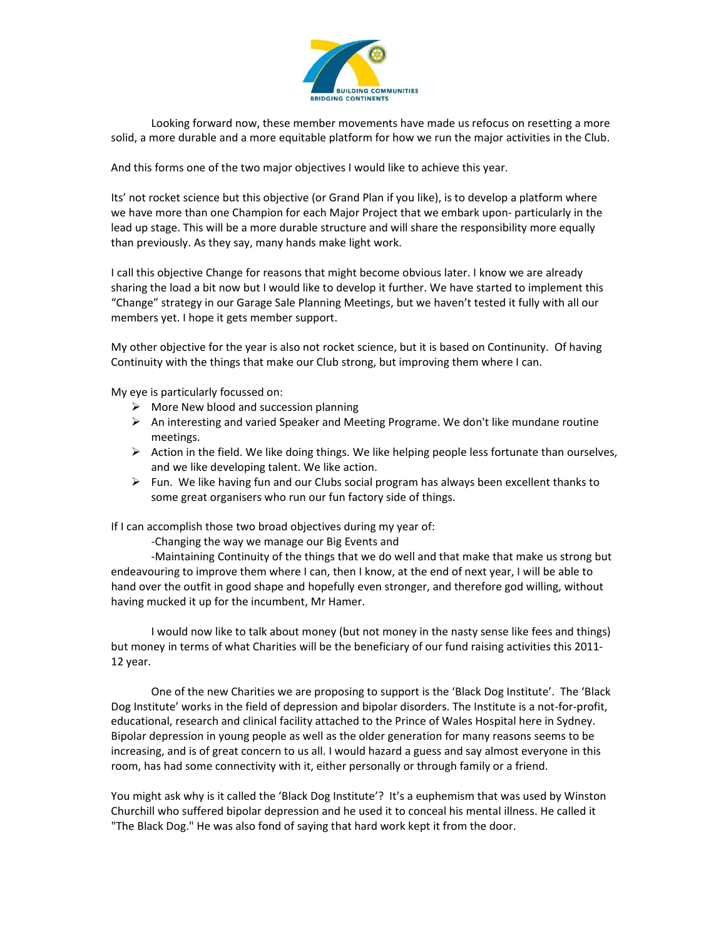

Looking forward now, these member movements have made us refocus on resetting a more solid, a more durable and a more equitable platform for how we run the major activities in the Club.

And this forms one of the two major objectives I would like to achieve this year.

Its' not rocket science but this objective (or Grand Plan if you like), is to develop a platform where we have more than one Champion for each Major Project that we embark upon-particularly in the lead up stage. This will be a more durable structure and will share the responsibility more equally than previously. As they say, many hands make light work.

I call this objective Change for reasons that might become obvious later. I know we are already sharing the load a bit now but I would like to develop it further. We have started to implement this "Change" strategy in our Garage Sale Planning Meetings, but we haven't tested it fully with all our members yet. I hope it gets member support.

My other objective for the year is also not rocket science, but it is based on Continunity. Of having Continuity with the things that make our Club strong, but improving them where I can.

My eye is particularly focussed on:

- $\triangleright$  More New blood and succession planning
- $\triangleright$  An interesting and varied Speaker and Meeting Programe. We don't like mundane routine meetings.
- $\triangleright$  Action in the field. We like doing things. We like helping people less fortunate than ourselves, and we like developing talent. We like action.
- $\triangleright$  Fun. We like having fun and our Clubs social program has always been excellent thanks to some great organisers who run our fun factory side of things.

If I can accomplish those two broad objectives during my year of:

‐Changing the way we manage our Big Events and

‐Maintaining Continuity of the things that we do well and that make that make us strong but endeavouring to improve them where I can, then I know, at the end of next year, I will be able to hand over the outfit in good shape and hopefully even stronger, and therefore god willing, without having mucked it up for the incumbent, Mr Hamer.

I would now like to talk about money (but not money in the nasty sense like fees and things) but money in terms of what Charities will be the beneficiary of our fund raising activities this 2011‐ 12 year.

One of the new Charities we are proposing to support is the 'Black Dog Institute'. The 'Black Dog Institute' works in the field of depression and bipolar disorders. The Institute is a not-for-profit, educational, research and clinical facility attached to the Prince of Wales Hospital here in Sydney. Bipolar depression in young people as well as the older generation for many reasons seems to be increasing, and is of great concern to us all. I would hazard a guess and say almost everyone in this room, has had some connectivity with it, either personally or through family or a friend.

You might ask why is it called the 'Black Dog Institute'? It's a euphemism that was used by Winston Churchill who suffered bipolar depression and he used it to conceal his mental illness. He called it "The Black Dog." He was also fond of saying that hard work kept it from the door.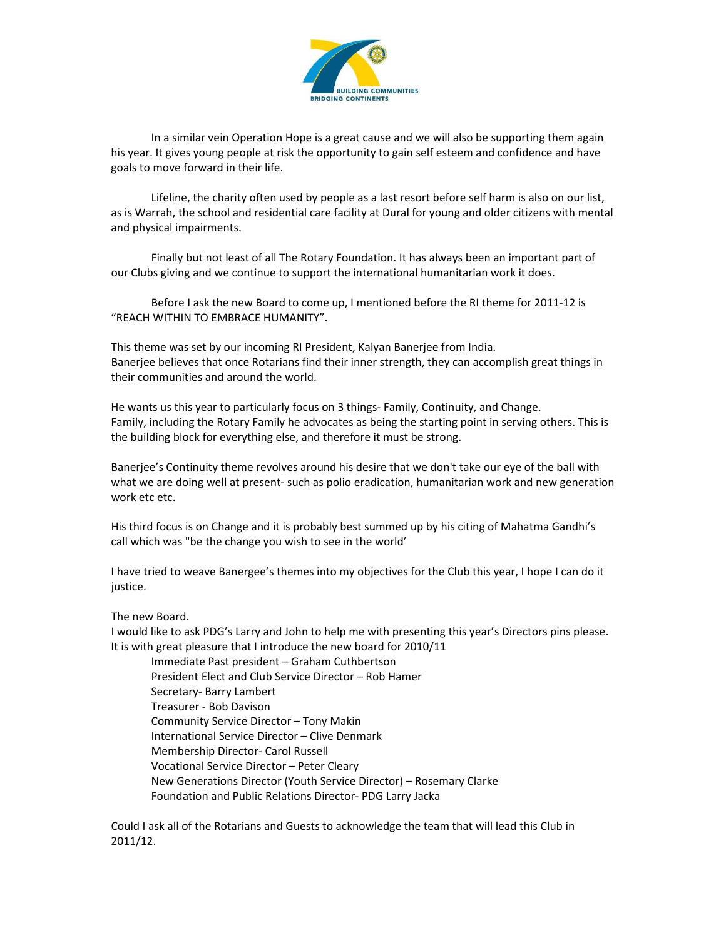

In a similar vein Operation Hope is a great cause and we will also be supporting them again his year. It gives young people at risk the opportunity to gain self esteem and confidence and have goals to move forward in their life.

Lifeline, the charity often used by people as a last resort before self harm is also on our list, as is Warrah, the school and residential care facility at Dural for young and older citizens with mental and physical impairments.

Finally but not least of all The Rotary Foundation. It has always been an important part of our Clubs giving and we continue to support the international humanitarian work it does.

Before I ask the new Board to come up, I mentioned before the RI theme for 2011‐12 is "REACH WITHIN TO EMBRACE HUMANITY".

This theme was set by our incoming RI President, Kalyan Banerjee from India. Banerjee believes that once Rotarians find their inner strength, they can accomplish great things in their communities and around the world.

He wants us this year to particularly focus on 3 things- Family, Continuity, and Change. Family, including the Rotary Family he advocates as being the starting point in serving others. This is the building block for everything else, and therefore it must be strong.

Banerjee's Continuity theme revolves around his desire that we don't take our eye of the ball with what we are doing well at present- such as polio eradication, humanitarian work and new generation work etc etc.

His third focus is on Change and it is probably best summed up by his citing of Mahatma Gandhi's call which was "be the change you wish to see in the world'

I have tried to weave Banergee's themes into my objectives for the Club this year, I hope I can do it justice.

The new Board.

I would like to ask PDG's Larry and John to help me with presenting this year's Directors pins please. It is with great pleasure that I introduce the new board for 2010/11

Immediate Past president – Graham Cuthbertson President Elect and Club Service Director – Rob Hamer Secretary‐ Barry Lambert Treasurer ‐ Bob Davison Community Service Director – Tony Makin International Service Director – Clive Denmark Membership Director‐ Carol Russell Vocational Service Director – Peter Cleary New Generations Director (Youth Service Director) – Rosemary Clarke Foundation and Public Relations Director‐ PDG Larry Jacka

Could I ask all of the Rotarians and Guests to acknowledge the team that will lead this Club in 2011/12.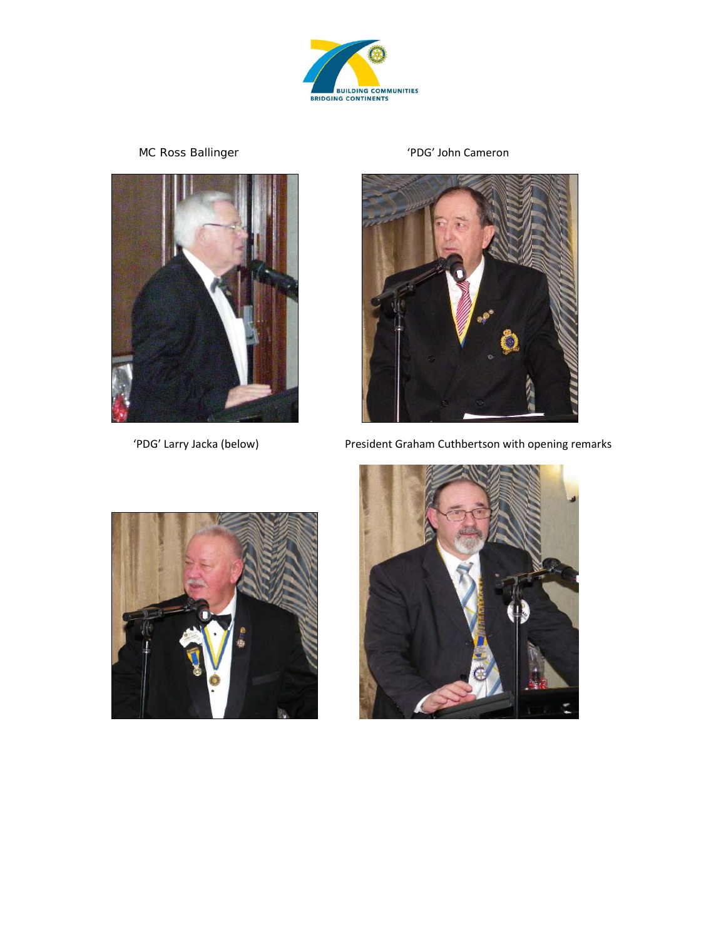

MC Ross Ballinger 'PDG' John Cameron





'PDG' Larry Jacka (below) President Graham Cuthbertson with opening remarks



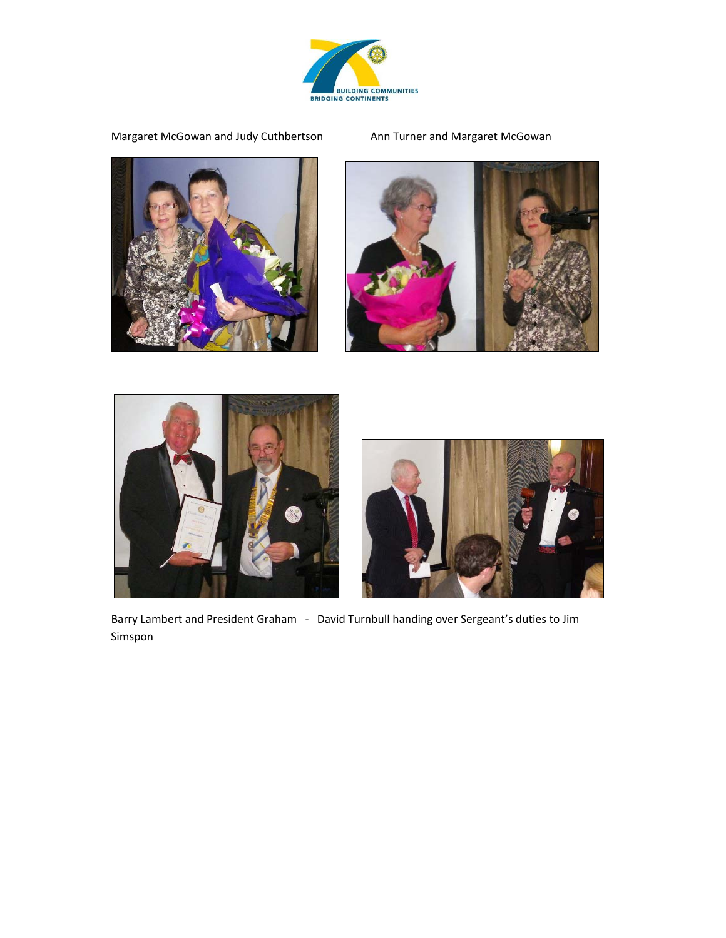

Margaret McGowan and Judy Cuthbertson Ann Turner and Margaret McGowan









Barry Lambert and President Graham - David Turnbull handing over Sergeant's duties to Jim Simspon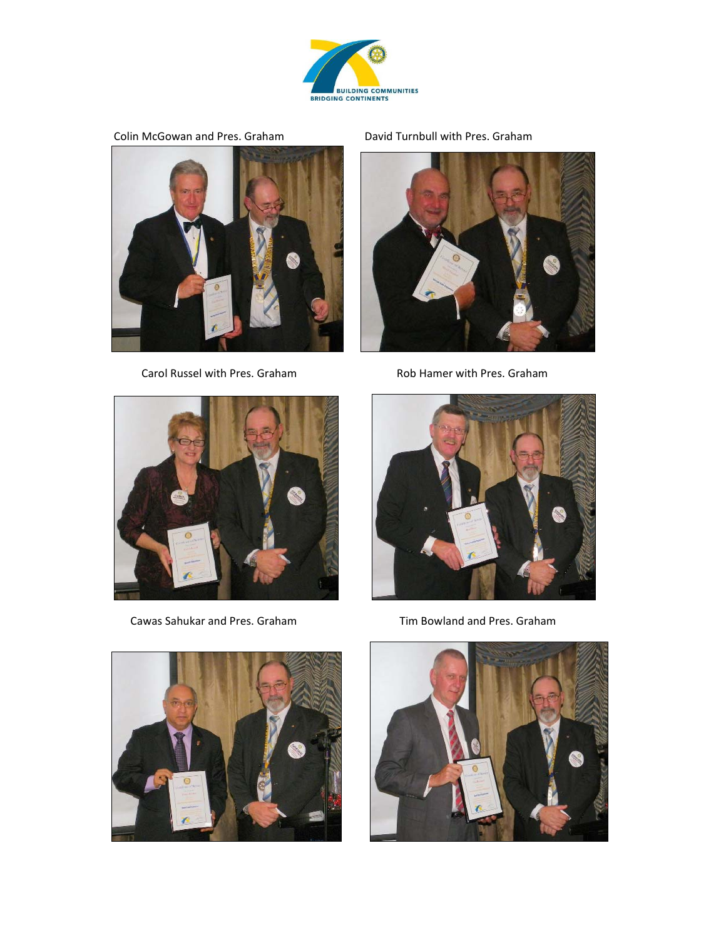

Colin McGowan and Pres. Graham David Turnbull with Pres. Graham



Carol Russel with Pres. Graham **8. A. S. Equate Pres. Graham** Rob Hamer with Pres. Graham





Cawas Sahukar and Pres. Graham Tim Bowland and Pres. Graham





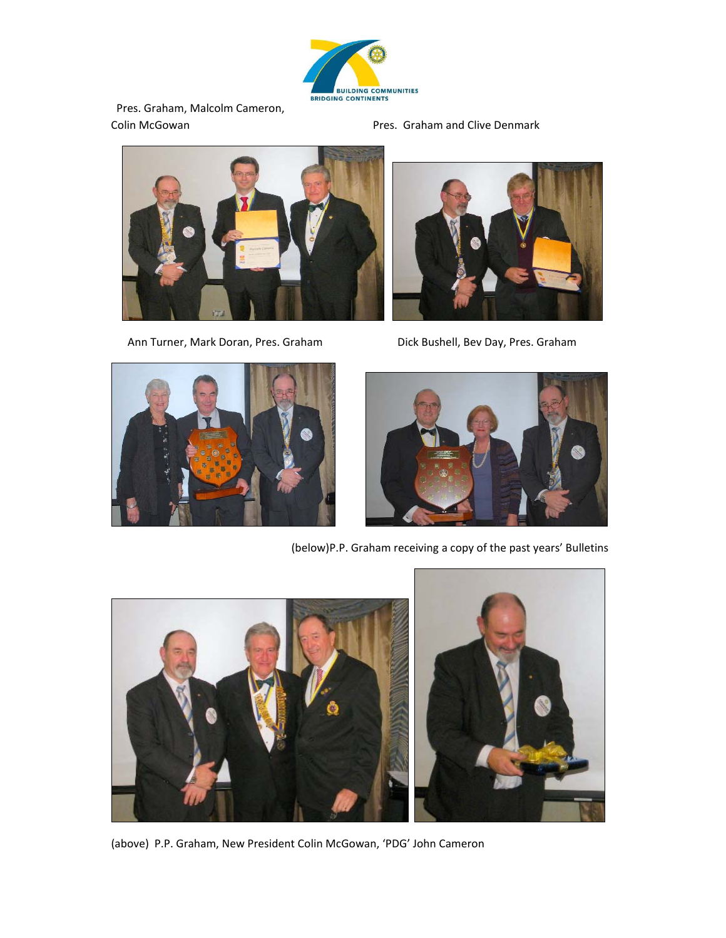

ERIDGING CONTINENTS<br>Pres. Graham, Malcolm Cameron, Colin McGowan Pres. Graham and Clive Denmark



Ann Turner, Mark Doran, Pres. Graham **Brann Brand Bushell, Bev Day, Pres. Graham** 







(below)P.P. Graham receiving a copy of the past years' Bulletins



(above) P.P. Graham, New President Colin McGowan, 'PDG' John Cameron